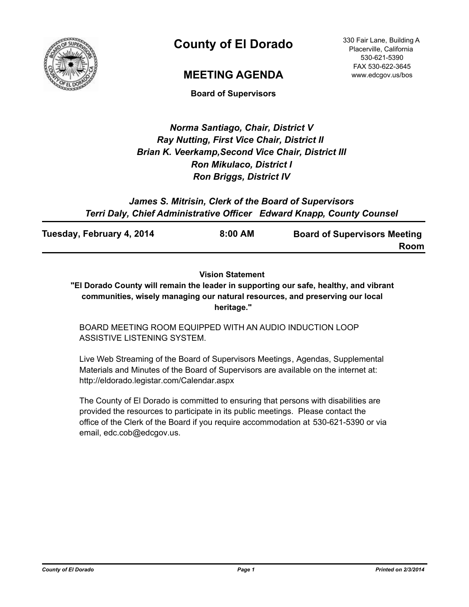

# **County of El Dorado**

### **MEETING AGENDA**

**Board of Supervisors**

### *Norma Santiago, Chair, District V Ray Nutting, First Vice Chair, District II Brian K. Veerkamp,Second Vice Chair, District III Ron Mikulaco, District I Ron Briggs, District IV*

*James S. Mitrisin, Clerk of the Board of Supervisors Terri Daly, Chief Administrative Officer Edward Knapp, County Counsel*

| Tuesday, February 4, 2014 | 8:00 AM | <b>Board of Supervisors Meeting</b> |
|---------------------------|---------|-------------------------------------|
|                           |         | Room                                |

#### **Vision Statement**

**"El Dorado County will remain the leader in supporting our safe, healthy, and vibrant communities, wisely managing our natural resources, and preserving our local heritage."**

BOARD MEETING ROOM EQUIPPED WITH AN AUDIO INDUCTION LOOP ASSISTIVE LISTENING SYSTEM.

Live Web Streaming of the Board of Supervisors Meetings, Agendas, Supplemental Materials and Minutes of the Board of Supervisors are available on the internet at: http://eldorado.legistar.com/Calendar.aspx

The County of El Dorado is committed to ensuring that persons with disabilities are provided the resources to participate in its public meetings. Please contact the office of the Clerk of the Board if you require accommodation at 530-621-5390 or via email, edc.cob@edcgov.us.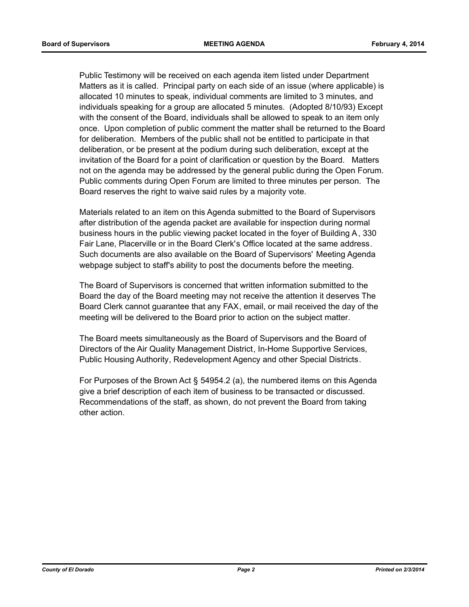Public Testimony will be received on each agenda item listed under Department Matters as it is called. Principal party on each side of an issue (where applicable) is allocated 10 minutes to speak, individual comments are limited to 3 minutes, and individuals speaking for a group are allocated 5 minutes. (Adopted 8/10/93) Except with the consent of the Board, individuals shall be allowed to speak to an item only once. Upon completion of public comment the matter shall be returned to the Board for deliberation. Members of the public shall not be entitled to participate in that deliberation, or be present at the podium during such deliberation, except at the invitation of the Board for a point of clarification or question by the Board. Matters not on the agenda may be addressed by the general public during the Open Forum. Public comments during Open Forum are limited to three minutes per person. The Board reserves the right to waive said rules by a majority vote.

Materials related to an item on this Agenda submitted to the Board of Supervisors after distribution of the agenda packet are available for inspection during normal business hours in the public viewing packet located in the foyer of Building A, 330 Fair Lane, Placerville or in the Board Clerk's Office located at the same address. Such documents are also available on the Board of Supervisors' Meeting Agenda webpage subject to staff's ability to post the documents before the meeting.

The Board of Supervisors is concerned that written information submitted to the Board the day of the Board meeting may not receive the attention it deserves The Board Clerk cannot guarantee that any FAX, email, or mail received the day of the meeting will be delivered to the Board prior to action on the subject matter.

The Board meets simultaneously as the Board of Supervisors and the Board of Directors of the Air Quality Management District, In-Home Supportive Services, Public Housing Authority, Redevelopment Agency and other Special Districts.

For Purposes of the Brown Act § 54954.2 (a), the numbered items on this Agenda give a brief description of each item of business to be transacted or discussed. Recommendations of the staff, as shown, do not prevent the Board from taking other action.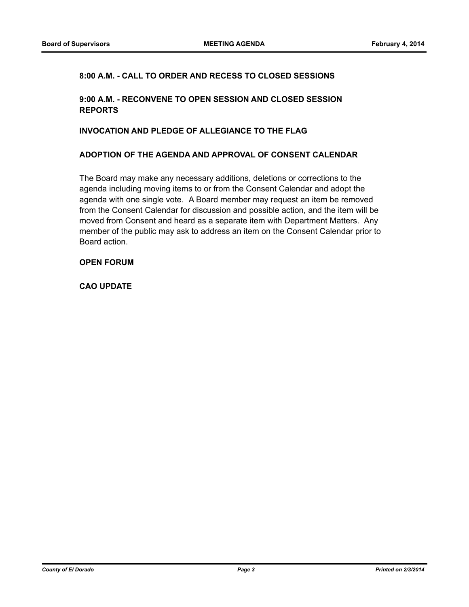#### **8:00 A.M. - CALL TO ORDER AND RECESS TO CLOSED SESSIONS**

#### **9:00 A.M. - RECONVENE TO OPEN SESSION AND CLOSED SESSION REPORTS**

#### **INVOCATION AND PLEDGE OF ALLEGIANCE TO THE FLAG**

#### **ADOPTION OF THE AGENDA AND APPROVAL OF CONSENT CALENDAR**

The Board may make any necessary additions, deletions or corrections to the agenda including moving items to or from the Consent Calendar and adopt the agenda with one single vote. A Board member may request an item be removed from the Consent Calendar for discussion and possible action, and the item will be moved from Consent and heard as a separate item with Department Matters. Any member of the public may ask to address an item on the Consent Calendar prior to Board action.

#### **OPEN FORUM**

**CAO UPDATE**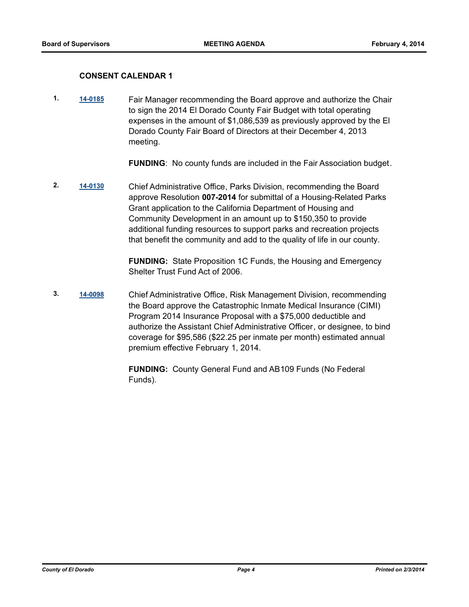#### **CONSENT CALENDAR 1**

**1. [14-0185](http://eldorado.legistar.com/gateway.aspx?m=l&id=/matter.aspx?key=17670)** Fair Manager recommending the Board approve and authorize the Chair to sign the 2014 El Dorado County Fair Budget with total operating expenses in the amount of \$1,086,539 as previously approved by the El Dorado County Fair Board of Directors at their December 4, 2013 meeting.

**FUNDING**: No county funds are included in the Fair Association budget.

**2. [14-0130](http://eldorado.legistar.com/gateway.aspx?m=l&id=/matter.aspx?key=17613)** Chief Administrative Office, Parks Division, recommending the Board approve Resolution **007-2014** for submittal of a Housing-Related Parks Grant application to the California Department of Housing and Community Development in an amount up to \$150,350 to provide additional funding resources to support parks and recreation projects that benefit the community and add to the quality of life in our county.

> **FUNDING:** State Proposition 1C Funds, the Housing and Emergency Shelter Trust Fund Act of 2006.

**3. [14-0098](http://eldorado.legistar.com/gateway.aspx?m=l&id=/matter.aspx?key=17581)** Chief Administrative Office, Risk Management Division, recommending the Board approve the Catastrophic Inmate Medical Insurance (CIMI) Program 2014 Insurance Proposal with a \$75,000 deductible and authorize the Assistant Chief Administrative Officer, or designee, to bind coverage for \$95,586 (\$22.25 per inmate per month) estimated annual premium effective February 1, 2014.

> **FUNDING:** County General Fund and AB109 Funds (No Federal Funds).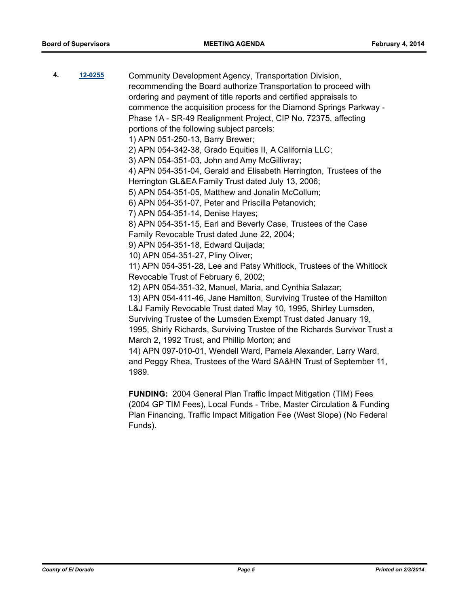| 4. | 12-0255 | Community Development Agency, Transportation Division,                    |
|----|---------|---------------------------------------------------------------------------|
|    |         | recommending the Board authorize Transportation to proceed with           |
|    |         | ordering and payment of title reports and certified appraisals to         |
|    |         | commence the acquisition process for the Diamond Springs Parkway -        |
|    |         | Phase 1A - SR-49 Realignment Project, CIP No. 72375, affecting            |
|    |         | portions of the following subject parcels:                                |
|    |         | 1) APN 051-250-13, Barry Brewer;                                          |
|    |         | 2) APN 054-342-38, Grado Equities II, A California LLC;                   |
|    |         | 3) APN 054-351-03, John and Amy McGillivray;                              |
|    |         | 4) APN 054-351-04, Gerald and Elisabeth Herrington, Trustees of the       |
|    |         | Herrington GL&EA Family Trust dated July 13, 2006;                        |
|    |         | 5) APN 054-351-05, Matthew and Jonalin McCollum;                          |
|    |         | 6) APN 054-351-07, Peter and Priscilla Petanovich;                        |
|    |         | 7) APN 054-351-14, Denise Hayes;                                          |
|    |         | 8) APN 054-351-15, Earl and Beverly Case, Trustees of the Case            |
|    |         | Family Revocable Trust dated June 22, 2004;                               |
|    |         | 9) APN 054-351-18, Edward Quijada;                                        |
|    |         | 10) APN 054-351-27, Pliny Oliver;                                         |
|    |         | 11) APN 054-351-28, Lee and Patsy Whitlock, Trustees of the Whitlock      |
|    |         | Revocable Trust of February 6, 2002;                                      |
|    |         | 12) APN 054-351-32, Manuel, Maria, and Cynthia Salazar;                   |
|    |         | 13) APN 054-411-46, Jane Hamilton, Surviving Trustee of the Hamilton      |
|    |         | L&J Family Revocable Trust dated May 10, 1995, Shirley Lumsden,           |
|    |         | Surviving Trustee of the Lumsden Exempt Trust dated January 19,           |
|    |         | 1995, Shirly Richards, Surviving Trustee of the Richards Survivor Trust a |
|    |         | March 2, 1992 Trust, and Phillip Morton; and                              |
|    |         | 14) APN 097-010-01, Wendell Ward, Pamela Alexander, Larry Ward,           |
|    |         | and Peggy Rhea, Trustees of the Ward SA&HN Trust of September 11,         |
|    |         | 1989.                                                                     |
|    |         |                                                                           |

**FUNDING:** 2004 General Plan Traffic Impact Mitigation (TIM) Fees (2004 GP TIM Fees), Local Funds - Tribe, Master Circulation & Funding Plan Financing, Traffic Impact Mitigation Fee (West Slope) (No Federal Funds).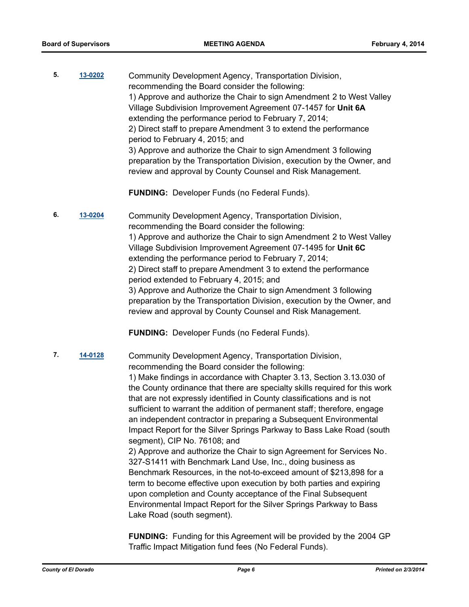**5. [13-0202](http://eldorado.legistar.com/gateway.aspx?m=l&id=/matter.aspx?key=16090)** Community Development Agency, Transportation Division, recommending the Board consider the following: 1) Approve and authorize the Chair to sign Amendment 2 to West Valley Village Subdivision Improvement Agreement 07-1457 for **Unit 6A** extending the performance period to February 7, 2014; 2) Direct staff to prepare Amendment 3 to extend the performance period to February 4, 2015; and 3) Approve and authorize the Chair to sign Amendment 3 following preparation by the Transportation Division, execution by the Owner, and review and approval by County Counsel and Risk Management.

**FUNDING:** Developer Funds (no Federal Funds).

**6. [13-0204](http://eldorado.legistar.com/gateway.aspx?m=l&id=/matter.aspx?key=16092)** Community Development Agency, Transportation Division, recommending the Board consider the following: 1) Approve and authorize the Chair to sign Amendment 2 to West Valley Village Subdivision Improvement Agreement 07-1495 for **Unit 6C** extending the performance period to February 7, 2014; 2) Direct staff to prepare Amendment 3 to extend the performance period extended to February 4, 2015; and 3) Approve and Authorize the Chair to sign Amendment 3 following preparation by the Transportation Division, execution by the Owner, and review and approval by County Counsel and Risk Management.

**FUNDING:** Developer Funds (no Federal Funds).

**7. [14-0128](http://eldorado.legistar.com/gateway.aspx?m=l&id=/matter.aspx?key=17611)** Community Development Agency, Transportation Division,

recommending the Board consider the following: 1) Make findings in accordance with Chapter 3.13, Section 3.13.030 of the County ordinance that there are specialty skills required for this work that are not expressly identified in County classifications and is not sufficient to warrant the addition of permanent staff; therefore, engage an independent contractor in preparing a Subsequent Environmental Impact Report for the Silver Springs Parkway to Bass Lake Road (south segment), CIP No. 76108; and

2) Approve and authorize the Chair to sign Agreement for Services No. 327-S1411 with Benchmark Land Use, Inc., doing business as Benchmark Resources, in the not-to-exceed amount of \$213,898 for a term to become effective upon execution by both parties and expiring upon completion and County acceptance of the Final Subsequent Environmental Impact Report for the Silver Springs Parkway to Bass Lake Road (south segment).

**FUNDING:** Funding for this Agreement will be provided by the 2004 GP Traffic Impact Mitigation fund fees (No Federal Funds).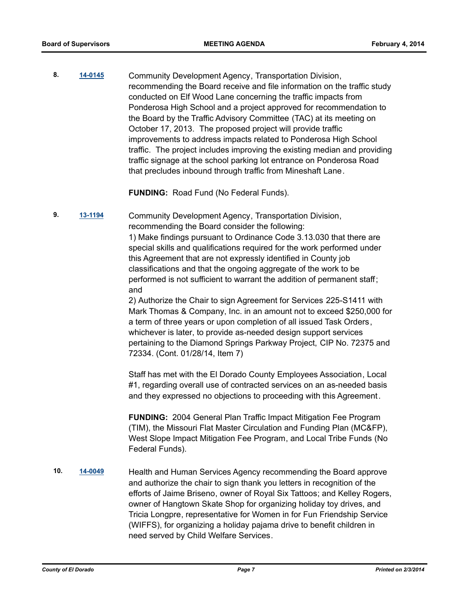**8. [14-0145](http://eldorado.legistar.com/gateway.aspx?m=l&id=/matter.aspx?key=17628)** Community Development Agency, Transportation Division, recommending the Board receive and file information on the traffic study conducted on Elf Wood Lane concerning the traffic impacts from Ponderosa High School and a project approved for recommendation to the Board by the Traffic Advisory Committee (TAC) at its meeting on October 17, 2013. The proposed project will provide traffic improvements to address impacts related to Ponderosa High School traffic. The project includes improving the existing median and providing traffic signage at the school parking lot entrance on Ponderosa Road that precludes inbound through traffic from Mineshaft Lane.

**FUNDING:** Road Fund (No Federal Funds).

**9. [13-1194](http://eldorado.legistar.com/gateway.aspx?m=l&id=/matter.aspx?key=17090)** Community Development Agency, Transportation Division, recommending the Board consider the following: 1) Make findings pursuant to Ordinance Code 3.13.030 that there are special skills and qualifications required for the work performed under this Agreement that are not expressly identified in County job classifications and that the ongoing aggregate of the work to be performed is not sufficient to warrant the addition of permanent staff; and

2) Authorize the Chair to sign Agreement for Services 225-S1411 with Mark Thomas & Company, Inc. in an amount not to exceed \$250,000 for a term of three years or upon completion of all issued Task Orders, whichever is later, to provide as-needed design support services pertaining to the Diamond Springs Parkway Project, CIP No. 72375 and 72334. (Cont. 01/28/14, Item 7)

Staff has met with the El Dorado County Employees Association, Local #1, regarding overall use of contracted services on an as-needed basis and they expressed no objections to proceeding with this Agreement.

**FUNDING:** 2004 General Plan Traffic Impact Mitigation Fee Program (TIM), the Missouri Flat Master Circulation and Funding Plan (MC&FP), West Slope Impact Mitigation Fee Program, and Local Tribe Funds (No Federal Funds).

**10. [14-0049](http://eldorado.legistar.com/gateway.aspx?m=l&id=/matter.aspx?key=17530)** Health and Human Services Agency recommending the Board approve and authorize the chair to sign thank you letters in recognition of the efforts of Jaime Briseno, owner of Royal Six Tattoos; and Kelley Rogers, owner of Hangtown Skate Shop for organizing holiday toy drives, and Tricia Longpre, representative for Women in for Fun Friendship Service (WIFFS), for organizing a holiday pajama drive to benefit children in need served by Child Welfare Services.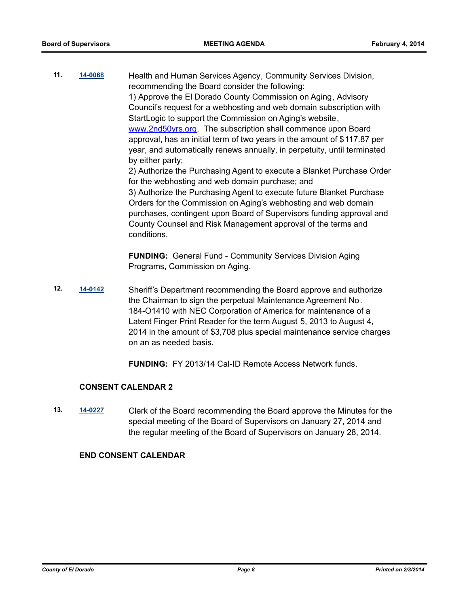**11. [14-0068](http://eldorado.legistar.com/gateway.aspx?m=l&id=/matter.aspx?key=17549)** Health and Human Services Agency, Community Services Division, recommending the Board consider the following: 1) Approve the El Dorado County Commission on Aging, Advisory Council's request for a webhosting and web domain subscription with StartLogic to support the Commission on Aging's website, www.2nd50yrs.org. The subscription shall commence upon Board approval, has an initial term of two years in the amount of \$117.87 per year, and automatically renews annually, in perpetuity, until terminated by either party; 2) Authorize the Purchasing Agent to execute a Blanket Purchase Order for the webhosting and web domain purchase; and 3) Authorize the Purchasing Agent to execute future Blanket Purchase Orders for the Commission on Aging's webhosting and web domain

purchases, contingent upon Board of Supervisors funding approval and County Counsel and Risk Management approval of the terms and conditions.

**FUNDING:** General Fund - Community Services Division Aging Programs, Commission on Aging.

**12. [14-0142](http://eldorado.legistar.com/gateway.aspx?m=l&id=/matter.aspx?key=17625)** Sheriff's Department recommending the Board approve and authorize the Chairman to sign the perpetual Maintenance Agreement No. 184-O1410 with NEC Corporation of America for maintenance of a Latent Finger Print Reader for the term August 5, 2013 to August 4, 2014 in the amount of \$3,708 plus special maintenance service charges on an as needed basis.

**FUNDING:** FY 2013/14 Cal-ID Remote Access Network funds.

#### **CONSENT CALENDAR 2**

**13. [14-0227](http://eldorado.legistar.com/gateway.aspx?m=l&id=/matter.aspx?key=17712)** Clerk of the Board recommending the Board approve the Minutes for the special meeting of the Board of Supervisors on January 27, 2014 and the regular meeting of the Board of Supervisors on January 28, 2014.

#### **END CONSENT CALENDAR**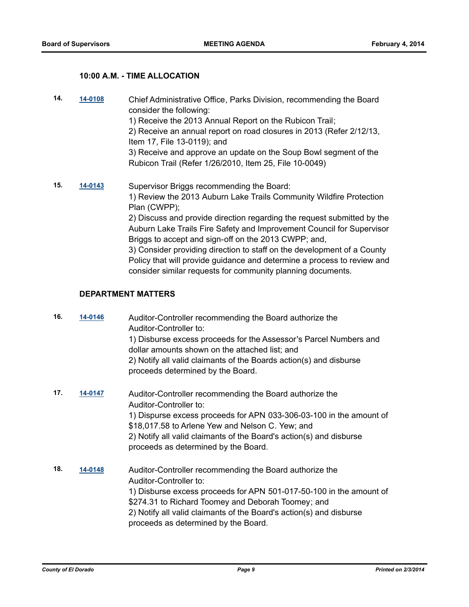#### **10:00 A.M. - TIME ALLOCATION**

**14. [14-0108](http://eldorado.legistar.com/gateway.aspx?m=l&id=/matter.aspx?key=17591)** Chief Administrative Office, Parks Division, recommending the Board consider the following: 1) Receive the 2013 Annual Report on the Rubicon Trail; 2) Receive an annual report on road closures in 2013 (Refer 2/12/13, Item 17, File 13-0119); and 3) Receive and approve an update on the Soup Bowl segment of the Rubicon Trail (Refer 1/26/2010, Item 25, File 10-0049) **15. [14-0143](http://eldorado.legistar.com/gateway.aspx?m=l&id=/matter.aspx?key=17626)** Supervisor Briggs recommending the Board: 1) Review the 2013 Auburn Lake Trails Community Wildfire Protection Plan (CWPP); 2) Discuss and provide direction regarding the request submitted by the Auburn Lake Trails Fire Safety and Improvement Council for Supervisor Briggs to accept and sign-off on the 2013 CWPP; and, 3) Consider providing direction to staff on the development of a County Policy that will provide guidance and determine a process to review and

consider similar requests for community planning documents.

## **DEPARTMENT MATTERS**

| 16. | 14-0146 | Auditor-Controller recommending the Board authorize the<br>Auditor-Controller to:<br>1) Disburse excess proceeds for the Assessor's Parcel Numbers and<br>dollar amounts shown on the attached list; and<br>2) Notify all valid claimants of the Boards action(s) and disburse<br>proceeds determined by the Board.           |
|-----|---------|-------------------------------------------------------------------------------------------------------------------------------------------------------------------------------------------------------------------------------------------------------------------------------------------------------------------------------|
| 17. | 14-0147 | Auditor-Controller recommending the Board authorize the<br>Auditor-Controller to:<br>1) Dispurse excess proceeds for APN 033-306-03-100 in the amount of<br>\$18,017.58 to Arlene Yew and Nelson C. Yew; and<br>2) Notify all valid claimants of the Board's action(s) and disburse<br>proceeds as determined by the Board.   |
| 18. | 14-0148 | Auditor-Controller recommending the Board authorize the<br>Auditor-Controller to:<br>1) Disburse excess proceeds for APN 501-017-50-100 in the amount of<br>\$274.31 to Richard Toomey and Deborah Toomey; and<br>2) Notify all valid claimants of the Board's action(s) and disburse<br>proceeds as determined by the Board. |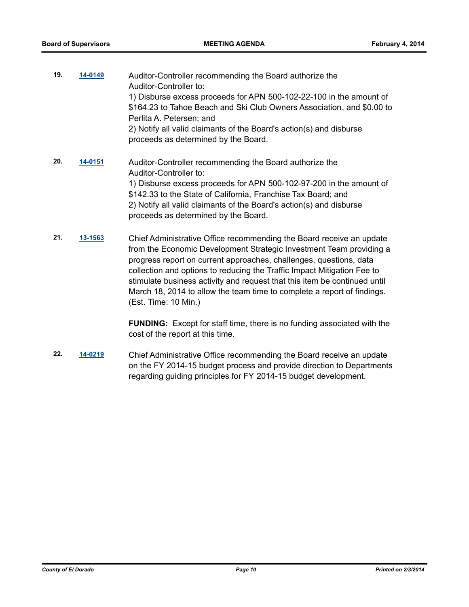- **19. [14-0149](http://eldorado.legistar.com/gateway.aspx?m=l&id=/matter.aspx?key=17632)** Auditor-Controller recommending the Board authorize the Auditor-Controller to: 1) Disburse excess proceeds for APN 500-102-22-100 in the amount of \$164.23 to Tahoe Beach and Ski Club Owners Association, and \$0.00 to Perlita A. Petersen; and 2) Notify all valid claimants of the Board's action(s) and disburse proceeds as determined by the Board.
- **20. [14-0151](http://eldorado.legistar.com/gateway.aspx?m=l&id=/matter.aspx?key=17634)** Auditor-Controller recommending the Board authorize the Auditor-Controller to: 1) Disburse excess proceeds for APN 500-102-97-200 in the amount of \$142.33 to the State of California, Franchise Tax Board; and 2) Notify all valid claimants of the Board's action(s) and disburse proceeds as determined by the Board.
- **21. [13-1563](http://eldorado.legistar.com/gateway.aspx?m=l&id=/matter.aspx?key=17462)** Chief Administrative Office recommending the Board receive an update from the Economic Development Strategic Investment Team providing a progress report on current approaches, challenges, questions, data collection and options to reducing the Traffic Impact Mitigation Fee to stimulate business activity and request that this item be continued until March 18, 2014 to allow the team time to complete a report of findings. (Est. Time: 10 Min.)

**FUNDING:** Except for staff time, there is no funding associated with the cost of the report at this time.

**22. [14-0219](http://eldorado.legistar.com/gateway.aspx?m=l&id=/matter.aspx?key=17704)** Chief Administrative Office recommending the Board receive an update on the FY 2014-15 budget process and provide direction to Departments regarding guiding principles for FY 2014-15 budget development.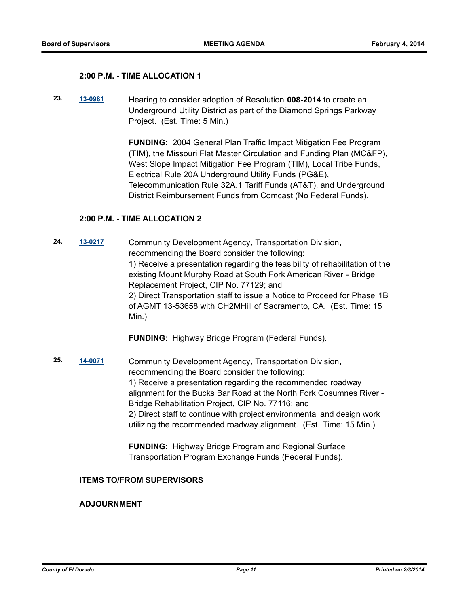#### **2:00 P.M. - TIME ALLOCATION 1**

**23. [13-0981](http://eldorado.legistar.com/gateway.aspx?m=l&id=/matter.aspx?key=16875)** Hearing to consider adoption of Resolution **008-2014** to create an Underground Utility District as part of the Diamond Springs Parkway Project. (Est. Time: 5 Min.)

> **FUNDING:** 2004 General Plan Traffic Impact Mitigation Fee Program (TIM), the Missouri Flat Master Circulation and Funding Plan (MC&FP), West Slope Impact Mitigation Fee Program (TIM), Local Tribe Funds, Electrical Rule 20A Underground Utility Funds (PG&E), Telecommunication Rule 32A.1 Tariff Funds (AT&T), and Underground District Reimbursement Funds from Comcast (No Federal Funds).

#### **2:00 P.M. - TIME ALLOCATION 2**

**24. [13-0217](http://eldorado.legistar.com/gateway.aspx?m=l&id=/matter.aspx?key=16105)** Community Development Agency, Transportation Division, recommending the Board consider the following: 1) Receive a presentation regarding the feasibility of rehabilitation of the existing Mount Murphy Road at South Fork American River - Bridge Replacement Project, CIP No. 77129; and 2) Direct Transportation staff to issue a Notice to Proceed for Phase 1B of AGMT 13-53658 with CH2MHill of Sacramento, CA. (Est. Time: 15 Min.)

**FUNDING:** Highway Bridge Program (Federal Funds).

**25. [14-0071](http://eldorado.legistar.com/gateway.aspx?m=l&id=/matter.aspx?key=17552)** Community Development Agency, Transportation Division, recommending the Board consider the following: 1) Receive a presentation regarding the recommended roadway alignment for the Bucks Bar Road at the North Fork Cosumnes River - Bridge Rehabilitation Project, CIP No. 77116; and 2) Direct staff to continue with project environmental and design work utilizing the recommended roadway alignment. (Est. Time: 15 Min.)

> **FUNDING:** Highway Bridge Program and Regional Surface Transportation Program Exchange Funds (Federal Funds).

#### **ITEMS TO/FROM SUPERVISORS**

#### **ADJOURNMENT**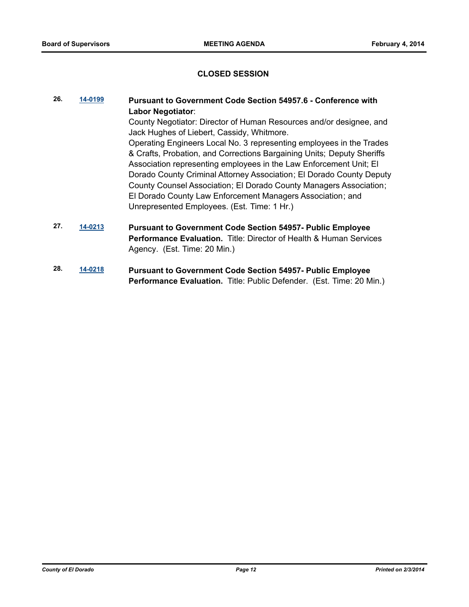#### **CLOSED SESSION**

- **26. [14-0199](http://eldorado.legistar.com/gateway.aspx?m=l&id=/matter.aspx?key=17684) Pursuant to Government Code Section 54957.6 Conference with Labor Negotiator**: County Negotiator: Director of Human Resources and/or designee, and Jack Hughes of Liebert, Cassidy, Whitmore. Operating Engineers Local No. 3 representing employees in the Trades & Crafts, Probation, and Corrections Bargaining Units; Deputy Sheriffs Association representing employees in the Law Enforcement Unit; El Dorado County Criminal Attorney Association; El Dorado County Deputy County Counsel Association; El Dorado County Managers Association; El Dorado County Law Enforcement Managers Association; and Unrepresented Employees. (Est. Time: 1 Hr.) **27. [14-0213](http://eldorado.legistar.com/gateway.aspx?m=l&id=/matter.aspx?key=17698) Pursuant to Government Code Section 54957- Public Employee Performance Evaluation.** Title: Director of Health & Human Services Agency. (Est. Time: 20 Min.)
- **28. [14-0218](http://eldorado.legistar.com/gateway.aspx?m=l&id=/matter.aspx?key=17703) Pursuant to Government Code Section 54957- Public Employee Performance Evaluation.** Title: Public Defender. (Est. Time: 20 Min.)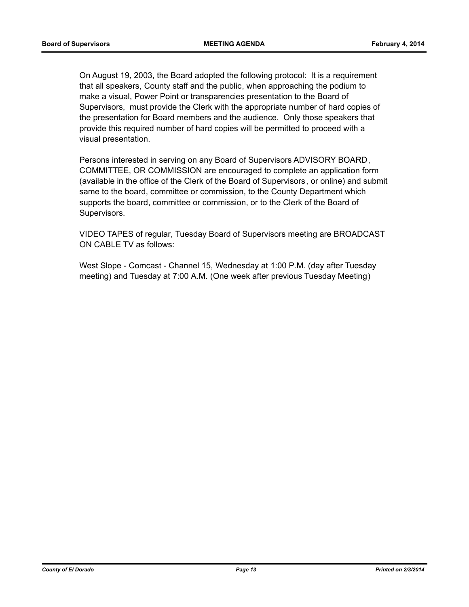On August 19, 2003, the Board adopted the following protocol: It is a requirement that all speakers, County staff and the public, when approaching the podium to make a visual, Power Point or transparencies presentation to the Board of Supervisors, must provide the Clerk with the appropriate number of hard copies of the presentation for Board members and the audience. Only those speakers that provide this required number of hard copies will be permitted to proceed with a visual presentation.

Persons interested in serving on any Board of Supervisors ADVISORY BOARD, COMMITTEE, OR COMMISSION are encouraged to complete an application form (available in the office of the Clerk of the Board of Supervisors, or online) and submit same to the board, committee or commission, to the County Department which supports the board, committee or commission, or to the Clerk of the Board of Supervisors.

VIDEO TAPES of regular, Tuesday Board of Supervisors meeting are BROADCAST ON CABLE TV as follows:

West Slope - Comcast - Channel 15, Wednesday at 1:00 P.M. (day after Tuesday meeting) and Tuesday at 7:00 A.M. (One week after previous Tuesday Meeting)